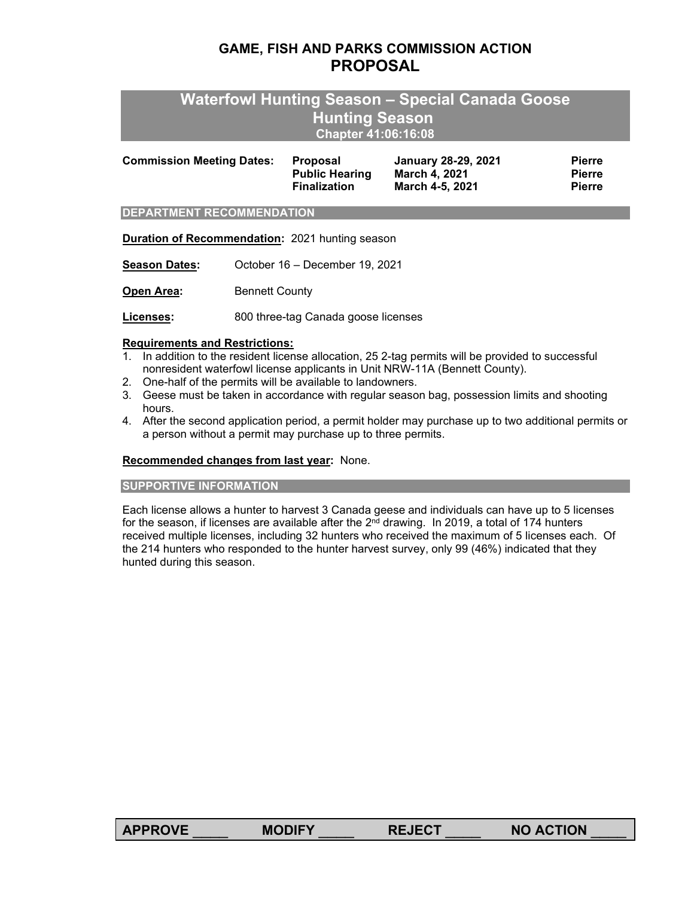# **GAME, FISH AND PARKS COMMISSION ACTION PROPOSAL**

# **Waterfowl Hunting Season – Special Canada Goose Hunting Season Chapter 41:06:16:08**

| <b>Commission Meeting Dates:</b> | <b>Proposal</b>       | January 28-29, 2021 | <b>Pierre</b> |
|----------------------------------|-----------------------|---------------------|---------------|
|                                  | <b>Public Hearing</b> | March 4. 2021       | <b>Pierre</b> |
|                                  | <b>Finalization</b>   | March 4-5, 2021     | <b>Pierre</b> |
|                                  |                       |                     |               |

#### **DEPARTMENT RECOMMENDATION**

**Duration of Recommendation:** 2021 hunting season

**Season Dates:** October 16 – December 19, 2021

**Open Area:** Bennett County

**Licenses:** 800 three-tag Canada goose licenses

### **Requirements and Restrictions:**

- 1. In addition to the resident license allocation, 25 2-tag permits will be provided to successful nonresident waterfowl license applicants in Unit NRW-11A (Bennett County).
- 2. One-half of the permits will be available to landowners.
- 3. Geese must be taken in accordance with regular season bag, possession limits and shooting hours.
- 4. After the second application period, a permit holder may purchase up to two additional permits or a person without a permit may purchase up to three permits.

#### **Recommended changes from last year:** None.

#### **SUPPORTIVE INFORMATION**

Each license allows a hunter to harvest 3 Canada geese and individuals can have up to 5 licenses for the season, if licenses are available after the  $2<sup>nd</sup>$  drawing. In 2019, a total of 174 hunters received multiple licenses, including 32 hunters who received the maximum of 5 licenses each. Of the 214 hunters who responded to the hunter harvest survey, only 99 (46%) indicated that they hunted during this season.

| <b>APPROVE</b> | <b>MODIFY</b> | <b>REJECT</b> | <b>NO ACTION</b> |
|----------------|---------------|---------------|------------------|
|                |               |               |                  |